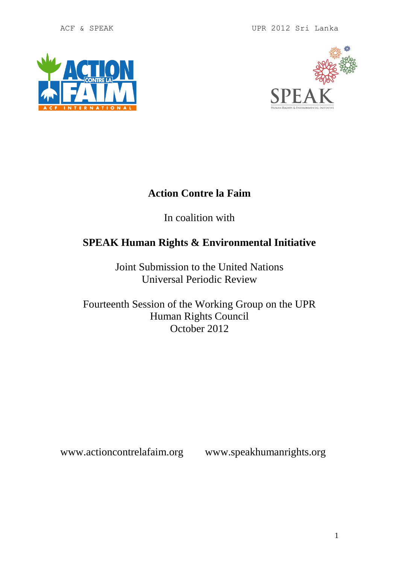ACF & SPEAK UPR 2012 Sri Lanka





## **Action Contre la Faim**

In coalition with

# **SPEAK Human Rights & Environmental Initiative**

Joint Submission to the United Nations Universal Periodic Review

Fourteenth Session of the Working Group on the UPR Human Rights Council October 2012

www.actioncontrelafaim.org www.speakhumanrights.org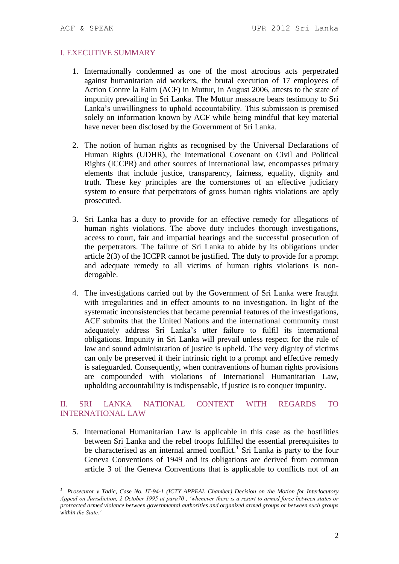<u>.</u>

### I. EXECUTIVE SUMMARY

- 1. Internationally condemned as one of the most atrocious acts perpetrated against humanitarian aid workers, the brutal execution of 17 employees of Action Contre la Faim (ACF) in Muttur, in August 2006, attests to the state of impunity prevailing in Sri Lanka. The Muttur massacre bears testimony to Sri Lanka's unwillingness to uphold accountability. This submission is premised solely on information known by ACF while being mindful that key material have never been disclosed by the Government of Sri Lanka.
- 2. The notion of human rights as recognised by the Universal Declarations of Human Rights (UDHR), the International Covenant on Civil and Political Rights (ICCPR) and other sources of international law, encompasses primary elements that include justice, transparency, fairness, equality, dignity and truth. These key principles are the cornerstones of an effective judiciary system to ensure that perpetrators of gross human rights violations are aptly prosecuted.
- 3. Sri Lanka has a duty to provide for an effective remedy for allegations of human rights violations. The above duty includes thorough investigations, access to court, fair and impartial hearings and the successful prosecution of the perpetrators. The failure of Sri Lanka to abide by its obligations under article 2(3) of the ICCPR cannot be justified. The duty to provide for a prompt and adequate remedy to all victims of human rights violations is nonderogable.
- 4. The investigations carried out by the Government of Sri Lanka were fraught with irregularities and in effect amounts to no investigation. In light of the systematic inconsistencies that became perennial features of the investigations, ACF submits that the United Nations and the international community must adequately address Sri Lanka's utter failure to fulfil its international obligations. Impunity in Sri Lanka will prevail unless respect for the rule of law and sound administration of justice is upheld. The very dignity of victims can only be preserved if their intrinsic right to a prompt and effective remedy is safeguarded. Consequently, when contraventions of human rights provisions are compounded with violations of International Humanitarian Law, upholding accountability is indispensable, if justice is to conquer impunity.

### II. SRI LANKA NATIONAL CONTEXT WITH REGARDS TO INTERNATIONAL LAW

5. International Humanitarian Law is applicable in this case as the hostilities between Sri Lanka and the rebel troops fulfilled the essential prerequisites to be characterised as an internal armed conflict.<sup>1</sup> Sri Lanka is party to the four Geneva Conventions of 1949 and its obligations are derived from common article 3 of the Geneva Conventions that is applicable to conflicts not of an

*<sup>1</sup> Prosecutor v Tadic, Case No. IT-94-1 (ICTY APPEAL Chamber) Decision on the Motion for Interlocutory Appeal on Jurisdiction, 2 October 1995 at para70 , 'whenever there is a resort to armed force between states or protracted armed violence between governmental authorities and organized armed groups or between such groups within the State.'*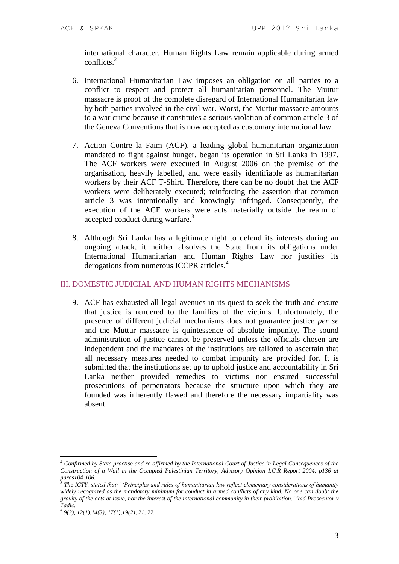international character. Human Rights Law remain applicable during armed conflicts.<sup>2</sup>

- 6. International Humanitarian Law imposes an obligation on all parties to a conflict to respect and protect all humanitarian personnel. The Muttur massacre is proof of the complete disregard of International Humanitarian law by both parties involved in the civil war. Worst, the Muttur massacre amounts to a war crime because it constitutes a serious violation of common article 3 of the Geneva Conventions that is now accepted as customary international law.
- 7. Action Contre la Faim (ACF), a leading global humanitarian organization mandated to fight against hunger, began its operation in Sri Lanka in 1997. The ACF workers were executed in August 2006 on the premise of the organisation, heavily labelled, and were easily identifiable as humanitarian workers by their ACF T-Shirt. Therefore, there can be no doubt that the ACF workers were deliberately executed; reinforcing the assertion that common article 3 was intentionally and knowingly infringed. Consequently, the execution of the ACF workers were acts materially outside the realm of accepted conduct during warfare.<sup>3</sup>
- 8. Although Sri Lanka has a legitimate right to defend its interests during an ongoing attack, it neither absolves the State from its obligations under International Humanitarian and Human Rights Law nor justifies its derogations from numerous ICCPR articles.<sup>4</sup>

### III. DOMESTIC JUDICIAL AND HUMAN RIGHTS MECHANISMS

9. ACF has exhausted all legal avenues in its quest to seek the truth and ensure that justice is rendered to the families of the victims. Unfortunately, the presence of different judicial mechanisms does not guarantee justice *per se* and the Muttur massacre is quintessence of absolute impunity. The sound administration of justice cannot be preserved unless the officials chosen are independent and the mandates of the institutions are tailored to ascertain that all necessary measures needed to combat impunity are provided for. It is submitted that the institutions set up to uphold justice and accountability in Sri Lanka neither provided remedies to victims nor ensured successful prosecutions of perpetrators because the structure upon which they are founded was inherently flawed and therefore the necessary impartiality was absent.

1

*<sup>2</sup> Confirmed by State practise and re-affirmed by the International Court of Justice in Legal Consequences of the Construction of a Wall in the Occupied Palestinian Territory, Advisory Opinion I.C.R Report 2004, p136 at* 

*paras104-106. 3 The ICTY, stated that;' 'Principles and rules of humanitarian law reflect elementary considerations of humanity widely recognized as the mandatory minimum for conduct in armed conflicts of any kind. No one can doubt the gravity of the acts at issue, nor the interest of the international community in their prohibition.' ibid Prosecutor v Tadic.*

*<sup>4</sup> 9(3), 12(1),14(3), 17(1),19(2), 21, 22.*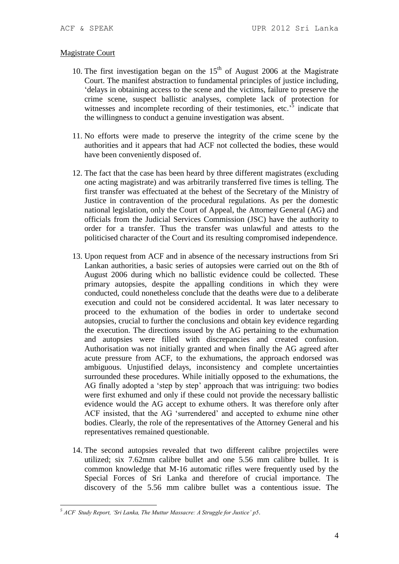#### Magistrate Court

- 10. The first investigation began on the  $15<sup>th</sup>$  of August 2006 at the Magistrate Court. The manifest abstraction to fundamental principles of justice including, 'delays in obtaining access to the scene and the victims, failure to preserve the crime scene, suspect ballistic analyses, complete lack of protection for witnesses and incomplete recording of their testimonies, etc.<sup>55</sup> indicate that the willingness to conduct a genuine investigation was absent.
- 11. No efforts were made to preserve the integrity of the crime scene by the authorities and it appears that had ACF not collected the bodies, these would have been conveniently disposed of.
- 12. The fact that the case has been heard by three different magistrates (excluding one acting magistrate) and was arbitrarily transferred five times is telling. The first transfer was effectuated at the behest of the Secretary of the Ministry of Justice in contravention of the procedural regulations. As per the domestic national legislation, only the Court of Appeal, the Attorney General (AG) and officials from the Judicial Services Commission (JSC) have the authority to order for a transfer. Thus the transfer was unlawful and attests to the politicised character of the Court and its resulting compromised independence.
- 13. Upon request from ACF and in absence of the necessary instructions from Sri Lankan authorities, a basic series of autopsies were carried out on the 8th of August 2006 during which no ballistic evidence could be collected. These primary autopsies, despite the appalling conditions in which they were conducted, could nonetheless conclude that the deaths were due to a deliberate execution and could not be considered accidental. It was later necessary to proceed to the exhumation of the bodies in order to undertake second autopsies, crucial to further the conclusions and obtain key evidence regarding the execution. The directions issued by the AG pertaining to the exhumation and autopsies were filled with discrepancies and created confusion. Authorisation was not initially granted and when finally the AG agreed after acute pressure from ACF, to the exhumations, the approach endorsed was ambiguous. Unjustified delays, inconsistency and complete uncertainties surrounded these procedures. While initially opposed to the exhumations, the AG finally adopted a 'step by step' approach that was intriguing: two bodies were first exhumed and only if these could not provide the necessary ballistic evidence would the AG accept to exhume others. It was therefore only after ACF insisted, that the AG 'surrendered' and accepted to exhume nine other bodies. Clearly, the role of the representatives of the Attorney General and his representatives remained questionable.
- 14. The second autopsies revealed that two different calibre projectiles were utilized; six 7.62mm calibre bullet and one 5.56 mm calibre bullet. It is common knowledge that M-16 automatic rifles were frequently used by the Special Forces of Sri Lanka and therefore of crucial importance. The discovery of the 5.56 mm calibre bullet was a contentious issue. The

<sup>1</sup> *<sup>5</sup> ACF Study Report, 'Sri Lanka, The Muttur Massacre: A Struggle for Justice' p5.*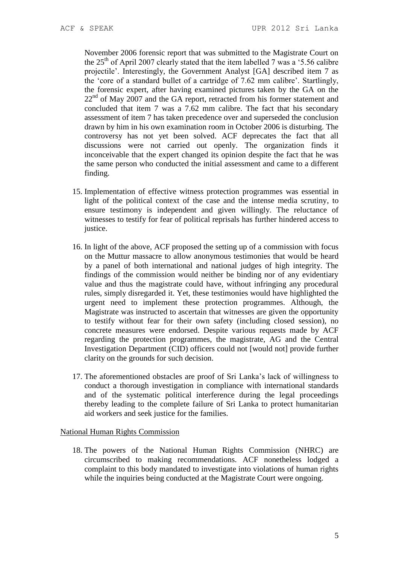November 2006 forensic report that was submitted to the Magistrate Court on the  $25<sup>th</sup>$  of April 2007 clearly stated that the item labelled 7 was a '5.56 calibre projectile'. Interestingly, the Government Analyst [GA] described item 7 as the 'core of a standard bullet of a cartridge of 7.62 mm calibre'. Startlingly, the forensic expert, after having examined pictures taken by the GA on the  $22<sup>nd</sup>$  of May 2007 and the GA report, retracted from his former statement and concluded that item 7 was a 7.62 mm calibre. The fact that his secondary assessment of item 7 has taken precedence over and superseded the conclusion drawn by him in his own examination room in October 2006 is disturbing. The controversy has not yet been solved. ACF deprecates the fact that all discussions were not carried out openly. The organization finds it inconceivable that the expert changed its opinion despite the fact that he was the same person who conducted the initial assessment and came to a different finding.

- 15. Implementation of effective witness protection programmes was essential in light of the political context of the case and the intense media scrutiny, to ensure testimony is independent and given willingly. The reluctance of witnesses to testify for fear of political reprisals has further hindered access to justice.
- 16. In light of the above, ACF proposed the setting up of a commission with focus on the Muttur massacre to allow anonymous testimonies that would be heard by a panel of both international and national judges of high integrity. The findings of the commission would neither be binding nor of any evidentiary value and thus the magistrate could have, without infringing any procedural rules, simply disregarded it. Yet, these testimonies would have highlighted the urgent need to implement these protection programmes. Although, the Magistrate was instructed to ascertain that witnesses are given the opportunity to testify without fear for their own safety (including closed session), no concrete measures were endorsed. Despite various requests made by ACF regarding the protection programmes, the magistrate, AG and the Central Investigation Department (CID) officers could not [would not] provide further clarity on the grounds for such decision.
- 17. The aforementioned obstacles are proof of Sri Lanka's lack of willingness to conduct a thorough investigation in compliance with international standards and of the systematic political interference during the legal proceedings thereby leading to the complete failure of Sri Lanka to protect humanitarian aid workers and seek justice for the families.

#### National Human Rights Commission

18. The powers of the National Human Rights Commission (NHRC) are circumscribed to making recommendations. ACF nonetheless lodged a complaint to this body mandated to investigate into violations of human rights while the inquiries being conducted at the Magistrate Court were ongoing.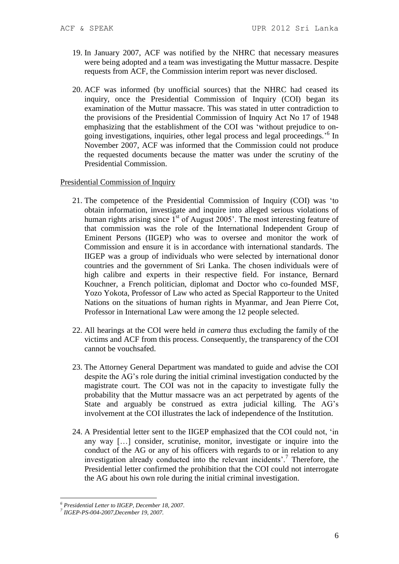- 19. In January 2007, ACF was notified by the NHRC that necessary measures were being adopted and a team was investigating the Muttur massacre. Despite requests from ACF, the Commission interim report was never disclosed.
- 20. ACF was informed (by unofficial sources) that the NHRC had ceased its inquiry, once the Presidential Commission of Inquiry (COI) began its examination of the Muttur massacre. This was stated in utter contradiction to the provisions of the Presidential Commission of Inquiry Act No 17 of 1948 emphasizing that the establishment of the COI was 'without prejudice to ongoing investigations, inquiries, other legal process and legal proceedings.' 6 In November 2007, ACF was informed that the Commission could not produce the requested documents because the matter was under the scrutiny of the Presidential Commission.

#### Presidential Commission of Inquiry

- 21. The competence of the Presidential Commission of Inquiry (COI) was 'to obtain information, investigate and inquire into alleged serious violations of human rights arising since  $1<sup>st</sup>$  of August 2005'. The most interesting feature of that commission was the role of the International Independent Group of Eminent Persons (IIGEP) who was to oversee and monitor the work of Commission and ensure it is in accordance with international standards. The IIGEP was a group of individuals who were selected by international donor countries and the government of Sri Lanka. The chosen individuals were of high calibre and experts in their respective field. For instance, Bernard Kouchner, a French politician, diplomat and Doctor who co-founded MSF, Yozo Yokota, Professor of Law who acted as Special Rapporteur to the United Nations on the situations of human rights in Myanmar, and Jean Pierre Cot, Professor in International Law were among the 12 people selected.
- 22. All hearings at the COI were held *in camera* thus excluding the family of the victims and ACF from this process. Consequently, the transparency of the COI cannot be vouchsafed.
- 23. The Attorney General Department was mandated to guide and advise the COI despite the AG's role during the initial criminal investigation conducted by the magistrate court. The COI was not in the capacity to investigate fully the probability that the Muttur massacre was an act perpetrated by agents of the State and arguably be construed as extra judicial killing. The AG's involvement at the COI illustrates the lack of independence of the Institution.
- 24. A Presidential letter sent to the IIGEP emphasized that the COI could not, 'in any way […] consider, scrutinise, monitor, investigate or inquire into the conduct of the AG or any of his officers with regards to or in relation to any investigation already conducted into the relevant incidents'.<sup>7</sup> Therefore, the Presidential letter confirmed the prohibition that the COI could not interrogate the AG about his own role during the initial criminal investigation.

<sup>&</sup>lt;u>.</u> *<sup>6</sup> Presidential Letter to IIGEP, December 18, 2007.*

*<sup>7</sup> IIGEP-PS-004-2007,December 19, 2007.*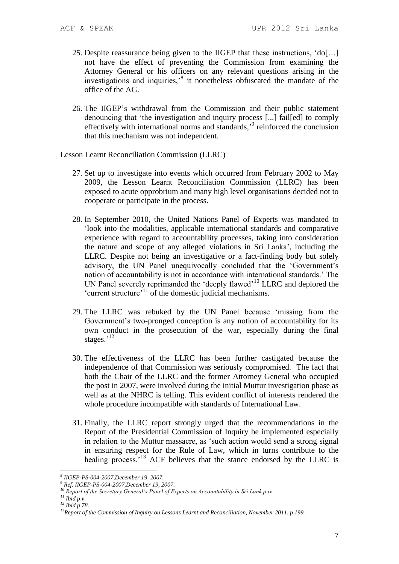- 25. Despite reassurance being given to the IIGEP that these instructions, 'do[…] not have the effect of preventing the Commission from examining the Attorney General or his officers on any relevant questions arising in the investigations and inquiries,'<sup>8</sup> it nonetheless obfuscated the mandate of the office of the AG.
- 26. The IIGEP's withdrawal from the Commission and their public statement denouncing that 'the investigation and inquiry process [...] fail[ed] to comply effectively with international norms and standards,<sup>'9</sup> reinforced the conclusion that this mechanism was not independent.

#### Lesson Learnt Reconciliation Commission (LLRC)

- 27. Set up to investigate into events which occurred from February 2002 to May 2009, the Lesson Learnt Reconciliation Commission (LLRC) has been exposed to acute opprobrium and many high level organisations decided not to cooperate or participate in the process.
- 28. In September 2010, the United Nations Panel of Experts was mandated to 'look into the modalities, applicable international standards and comparative experience with regard to accountability processes, taking into consideration the nature and scope of any alleged violations in Sri Lanka', including the LLRC. Despite not being an investigative or a fact-finding body but solely advisory, the UN Panel unequivocally concluded that the 'Government's notion of accountability is not in accordance with international standards.' The UN Panel severely reprimanded the 'deeply flawed'<sup>10</sup> LLRC and deplored the 'current structure'<sup>11</sup> of the domestic judicial mechanisms.
- 29. The LLRC was rebuked by the UN Panel because 'missing from the Government's two-pronged conception is any notion of accountability for its own conduct in the prosecution of the war, especially during the final stages.'<sup>12</sup>
- 30. The effectiveness of the LLRC has been further castigated because the independence of that Commission was seriously compromised. The fact that both the Chair of the LLRC and the former Attorney General who occupied the post in 2007, were involved during the initial Muttur investigation phase as well as at the NHRC is telling. This evident conflict of interests rendered the whole procedure incompatible with standards of International Law.
- 31. Finally, the LLRC report strongly urged that the recommendations in the Report of the Presidential Commission of Inquiry be implemented especially in relation to the Muttur massacre, as 'such action would send a strong signal in ensuring respect for the Rule of Law, which in turns contribute to the healing process.<sup>13</sup> ACF believes that the stance endorsed by the LLRC is

1

*<sup>8</sup> IIGEP-PS-004-2007,December 19, 2007.*

*<sup>9</sup> Ref. IIGEP-PS-004-2007,December 19, 2007.*

*<sup>10</sup> Report of the Secretary General's Panel of Experts on Accountability in Sri Lank p iv.*

 $\frac{11}{10}$  *Ibid p v.* 

*<sup>12</sup> Ibid p 78.*

*<sup>13</sup>Report of the Commission of Inquiry on Lessons Learnt and Reconciliation, November 2011, p 199.*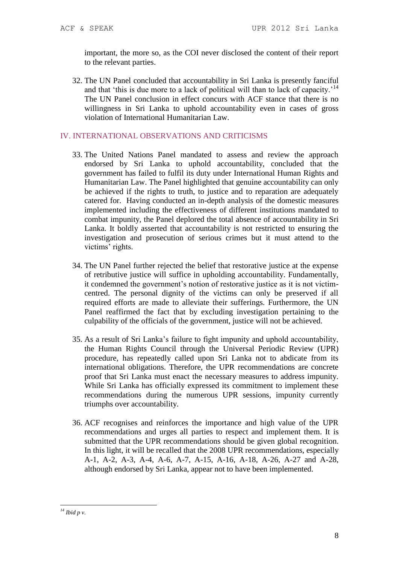important, the more so, as the COI never disclosed the content of their report to the relevant parties.

32. The UN Panel concluded that accountability in Sri Lanka is presently fanciful and that 'this is due more to a lack of political will than to lack of capacity.<sup>'14</sup> The UN Panel conclusion in effect concurs with ACF stance that there is no willingness in Sri Lanka to uphold accountability even in cases of gross violation of International Humanitarian Law.

## IV. INTERNATIONAL OBSERVATIONS AND CRITICISMS

- 33. The United Nations Panel mandated to assess and review the approach endorsed by Sri Lanka to uphold accountability, concluded that the government has failed to fulfil its duty under International Human Rights and Humanitarian Law. The Panel highlighted that genuine accountability can only be achieved if the rights to truth, to justice and to reparation are adequately catered for. Having conducted an in-depth analysis of the domestic measures implemented including the effectiveness of different institutions mandated to combat impunity, the Panel deplored the total absence of accountability in Sri Lanka. It boldly asserted that accountability is not restricted to ensuring the investigation and prosecution of serious crimes but it must attend to the victims' rights.
- 34. The UN Panel further rejected the belief that restorative justice at the expense of retributive justice will suffice in upholding accountability. Fundamentally, it condemned the government's notion of restorative justice as it is not victimcentred. The personal dignity of the victims can only be preserved if all required efforts are made to alleviate their sufferings. Furthermore, the UN Panel reaffirmed the fact that by excluding investigation pertaining to the culpability of the officials of the government, justice will not be achieved.
- 35. As a result of Sri Lanka's failure to fight impunity and uphold accountability, the Human Rights Council through the Universal Periodic Review (UPR) procedure, has repeatedly called upon Sri Lanka not to abdicate from its international obligations. Therefore, the UPR recommendations are concrete proof that Sri Lanka must enact the necessary measures to address impunity. While Sri Lanka has officially expressed its commitment to implement these recommendations during the numerous UPR sessions, impunity currently triumphs over accountability.
- 36. ACF recognises and reinforces the importance and high value of the UPR recommendations and urges all parties to respect and implement them. It is submitted that the UPR recommendations should be given global recognition. In this light, it will be recalled that the 2008 UPR recommendations, especially A-1, A-2, A-3, A-4, A-6, A-7, A-15, A-16, A-18, A-26, A-27 and A-28, although endorsed by Sri Lanka, appear not to have been implemented.

<sup>1</sup> *<sup>14</sup> Ibid p v.*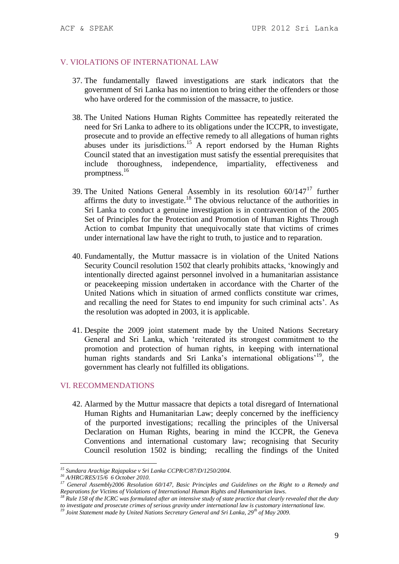#### V. VIOLATIONS OF INTERNATIONAL LAW

- 37. The fundamentally flawed investigations are stark indicators that the government of Sri Lanka has no intention to bring either the offenders or those who have ordered for the commission of the massacre, to justice.
- 38. The United Nations Human Rights Committee has repeatedly reiterated the need for Sri Lanka to adhere to its obligations under the ICCPR, to investigate, prosecute and to provide an effective remedy to all allegations of human rights abuses under its jurisdictions.<sup>15</sup> A report endorsed by the Human Rights Council stated that an investigation must satisfy the essential prerequisites that include thoroughness, independence, impartiality, effectiveness and promptness.<sup>16</sup>
- 39. The United Nations General Assembly in its resolution 60/147<sup>17</sup> further affirms the duty to investigate.<sup>18</sup> The obvious reluctance of the authorities in Sri Lanka to conduct a genuine investigation is in contravention of the 2005 Set of Principles for the Protection and Promotion of Human Rights Through Action to combat Impunity that unequivocally state that victims of crimes under international law have the right to truth, to justice and to reparation.
- 40. Fundamentally, the Muttur massacre is in violation of the United Nations Security Council resolution 1502 that clearly prohibits attacks, 'knowingly and intentionally directed against personnel involved in a humanitarian assistance or peacekeeping mission undertaken in accordance with the Charter of the United Nations which in situation of armed conflicts constitute war crimes, and recalling the need for States to end impunity for such criminal acts'. As the resolution was adopted in 2003, it is applicable.
- 41. Despite the 2009 joint statement made by the United Nations Secretary General and Sri Lanka, which 'reiterated its strongest commitment to the promotion and protection of human rights, in keeping with international human rights standards and Sri Lanka's international obligations<sup>19</sup>, the government has clearly not fulfilled its obligations.

#### VI. RECOMMENDATIONS

42. Alarmed by the Muttur massacre that depicts a total disregard of International Human Rights and Humanitarian Law; deeply concerned by the inefficiency of the purported investigations; recalling the principles of the Universal Declaration on Human Rights, bearing in mind the ICCPR, the Geneva Conventions and international customary law; recognising that Security Council resolution 1502 is binding; recalling the findings of the United

<u>.</u>

*<sup>15</sup> Sundara Arachige Rajapakse v Sri Lanka CCPR/C/87/D/1250/2004.*

*<sup>16</sup> A/HRC/RES/15/6 6 October 2010.*

*<sup>17</sup> General Assembly2006 Resolution 60/147, Basic Principles and Guidelines on the Right to a Remedy and Reparations for Victims of Violations of International Human Rights and Humanitarian laws.*

*<sup>18</sup> Rule 158 of the ICRC was formulated after an intensive study of state practice that clearly revealed that the duty to investigate and prosecute crimes of serious gravity under international law is customary international law.* 

*<sup>19</sup> Joint Statement made by United Nations Secretary General and Sri Lanka, 29th of May 2009.*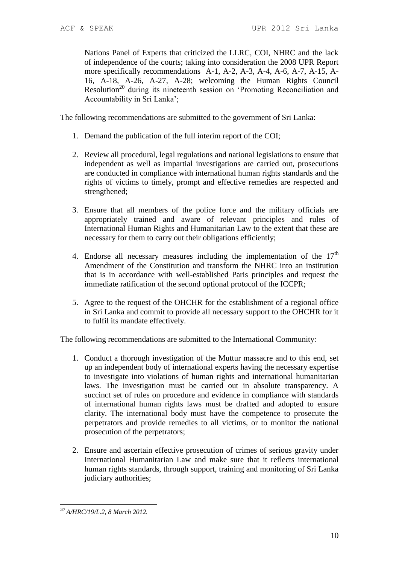Nations Panel of Experts that criticized the LLRC, COI, NHRC and the lack of independence of the courts; taking into consideration the 2008 UPR Report more specifically recommendations A-1, A-2, A-3, A-4, A-6, A-7, A-15, A-16, A-18, A-26, A-27, A-28; welcoming the Human Rights Council Resolution<sup>20</sup> during its nineteenth session on 'Promoting Reconciliation and Accountability in Sri Lanka';

The following recommendations are submitted to the government of Sri Lanka:

- 1. Demand the publication of the full interim report of the COI;
- 2. Review all procedural, legal regulations and national legislations to ensure that independent as well as impartial investigations are carried out, prosecutions are conducted in compliance with international human rights standards and the rights of victims to timely, prompt and effective remedies are respected and strengthened;
- 3. Ensure that all members of the police force and the military officials are appropriately trained and aware of relevant principles and rules of International Human Rights and Humanitarian Law to the extent that these are necessary for them to carry out their obligations efficiently;
- 4. Endorse all necessary measures including the implementation of the  $17<sup>th</sup>$ Amendment of the Constitution and transform the NHRC into an institution that is in accordance with well-established Paris principles and request the immediate ratification of the second optional protocol of the ICCPR;
- 5. Agree to the request of the OHCHR for the establishment of a regional office in Sri Lanka and commit to provide all necessary support to the OHCHR for it to fulfil its mandate effectively.

The following recommendations are submitted to the International Community:

- 1. Conduct a thorough investigation of the Muttur massacre and to this end, set up an independent body of international experts having the necessary expertise to investigate into violations of human rights and international humanitarian laws. The investigation must be carried out in absolute transparency. A succinct set of rules on procedure and evidence in compliance with standards of international human rights laws must be drafted and adopted to ensure clarity. The international body must have the competence to prosecute the perpetrators and provide remedies to all victims, or to monitor the national prosecution of the perpetrators;
- 2. Ensure and ascertain effective prosecution of crimes of serious gravity under International Humanitarian Law and make sure that it reflects international human rights standards, through support, training and monitoring of Sri Lanka judiciary authorities;

<sup>1</sup> *<sup>20</sup> A/HRC/19/L.2, 8 March 2012.*